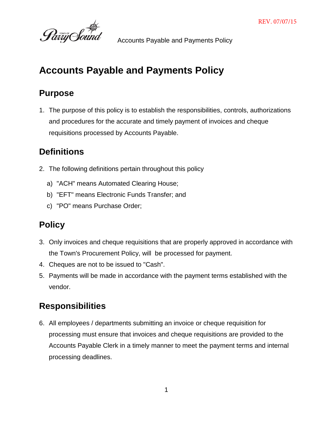

# **Accounts Payable and Payments Policy**

## **Purpose**

1. The purpose of this policy is to establish the responsibilities, controls, authorizations and procedures for the accurate and timely payment of invoices and cheque requisitions processed by Accounts Payable.

# **Definitions**

- 2. The following definitions pertain throughout this policy
	- a) "ACH" means Automated Clearing House;
	- b) "EFT" means Electronic Funds Transfer; and
	- c) "PO" means Purchase Order;

# **Policy**

- 3. Only invoices and cheque requisitions that are properly approved in accordance with the Town's Procurement Policy, will be processed for payment.
- 4. Cheques are not to be issued to "Cash".
- 5. Payments will be made in accordance with the payment terms established with the vendor.

# **Responsibilities**

6. All employees / departments submitting an invoice or cheque requisition for processing must ensure that invoices and cheque requisitions are provided to the Accounts Payable Clerk in a timely manner to meet the payment terms and internal processing deadlines.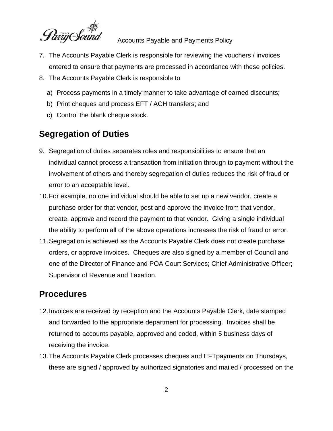

- 7. The Accounts Payable Clerk is responsible for reviewing the vouchers / invoices entered to ensure that payments are processed in accordance with these policies.
- 8. The Accounts Payable Clerk is responsible to
	- a) Process payments in a timely manner to take advantage of earned discounts;
	- b) Print cheques and process EFT / ACH transfers; and
	- c) Control the blank cheque stock.

## **Segregation of Duties**

- 9. Segregation of duties separates roles and responsibilities to ensure that an individual cannot process a transaction from initiation through to payment without the involvement of others and thereby segregation of duties reduces the risk of fraud or error to an acceptable level.
- 10.For example, no one individual should be able to set up a new vendor, create a purchase order for that vendor, post and approve the invoice from that vendor, create, approve and record the payment to that vendor. Giving a single individual the ability to perform all of the above operations increases the risk of fraud or error.
- 11.Segregation is achieved as the Accounts Payable Clerk does not create purchase orders, or approve invoices. Cheques are also signed by a member of Council and one of the Director of Finance and POA Court Services; Chief Administrative Officer; Supervisor of Revenue and Taxation.

## **Procedures**

- 12.Invoices are received by reception and the Accounts Payable Clerk, date stamped and forwarded to the appropriate department for processing. Invoices shall be returned to accounts payable, approved and coded, within 5 business days of receiving the invoice.
- 13.The Accounts Payable Clerk processes cheques and EFTpayments on Thursdays, these are signed / approved by authorized signatories and mailed / processed on the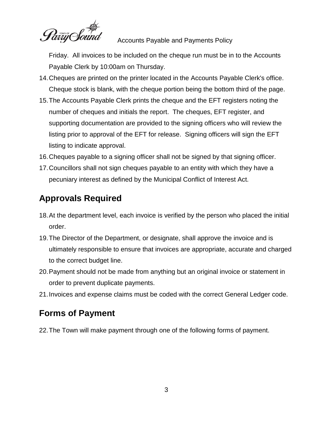Pariy Soun

Friday. All invoices to be included on the cheque run must be in to the Accounts Payable Clerk by 10:00am on Thursday.

- 14.Cheques are printed on the printer located in the Accounts Payable Clerk's office. Cheque stock is blank, with the cheque portion being the bottom third of the page.
- 15.The Accounts Payable Clerk prints the cheque and the EFT registers noting the number of cheques and initials the report. The cheques, EFT register, and supporting documentation are provided to the signing officers who will review the listing prior to approval of the EFT for release. Signing officers will sign the EFT listing to indicate approval.
- 16.Cheques payable to a signing officer shall not be signed by that signing officer.
- 17.Councillors shall not sign cheques payable to an entity with which they have a pecuniary interest as defined by the Municipal Conflict of Interest Act.

# **Approvals Required**

- 18.At the department level, each invoice is verified by the person who placed the initial order.
- 19.The Director of the Department, or designate, shall approve the invoice and is ultimately responsible to ensure that invoices are appropriate, accurate and charged to the correct budget line.
- 20.Payment should not be made from anything but an original invoice or statement in order to prevent duplicate payments.
- 21.Invoices and expense claims must be coded with the correct General Ledger code.

## **Forms of Payment**

22.The Town will make payment through one of the following forms of payment.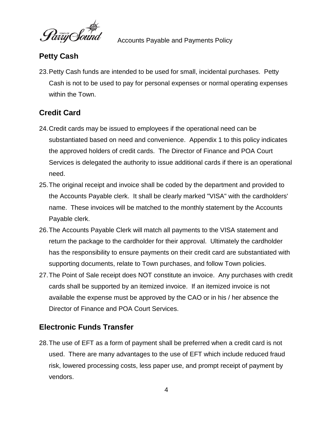Party Sound

### **Petty Cash**

23.Petty Cash funds are intended to be used for small, incidental purchases. Petty Cash is not to be used to pay for personal expenses or normal operating expenses within the Town.

## **Credit Card**

- 24.Credit cards may be issued to employees if the operational need can be substantiated based on need and convenience. Appendix 1 to this policy indicates the approved holders of credit cards. The Director of Finance and POA Court Services is delegated the authority to issue additional cards if there is an operational need.
- 25.The original receipt and invoice shall be coded by the department and provided to the Accounts Payable clerk. It shall be clearly marked "VISA" with the cardholders' name. These invoices will be matched to the monthly statement by the Accounts Payable clerk.
- 26.The Accounts Payable Clerk will match all payments to the VISA statement and return the package to the cardholder for their approval. Ultimately the cardholder has the responsibility to ensure payments on their credit card are substantiated with supporting documents, relate to Town purchases, and follow Town policies.
- 27.The Point of Sale receipt does NOT constitute an invoice. Any purchases with credit cards shall be supported by an itemized invoice. If an itemized invoice is not available the expense must be approved by the CAO or in his / her absence the Director of Finance and POA Court Services.

#### **Electronic Funds Transfer**

28.The use of EFT as a form of payment shall be preferred when a credit card is not used. There are many advantages to the use of EFT which include reduced fraud risk, lowered processing costs, less paper use, and prompt receipt of payment by vendors.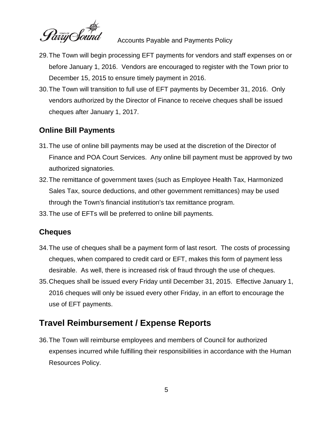

- 29.The Town will begin processing EFT payments for vendors and staff expenses on or before January 1, 2016. Vendors are encouraged to register with the Town prior to December 15, 2015 to ensure timely payment in 2016.
- 30.The Town will transition to full use of EFT payments by December 31, 2016. Only vendors authorized by the Director of Finance to receive cheques shall be issued cheques after January 1, 2017.

#### **Online Bill Payments**

- 31.The use of online bill payments may be used at the discretion of the Director of Finance and POA Court Services. Any online bill payment must be approved by two authorized signatories.
- 32.The remittance of government taxes (such as Employee Health Tax, Harmonized Sales Tax, source deductions, and other government remittances) may be used through the Town's financial institution's tax remittance program.
- 33.The use of EFTs will be preferred to online bill payments.

#### **Cheques**

- 34.The use of cheques shall be a payment form of last resort. The costs of processing cheques, when compared to credit card or EFT, makes this form of payment less desirable. As well, there is increased risk of fraud through the use of cheques.
- 35.Cheques shall be issued every Friday until December 31, 2015. Effective January 1, 2016 cheques will only be issued every other Friday, in an effort to encourage the use of EFT payments.

## **Travel Reimbursement / Expense Reports**

36.The Town will reimburse employees and members of Council for authorized expenses incurred while fulfilling their responsibilities in accordance with the Human Resources Policy.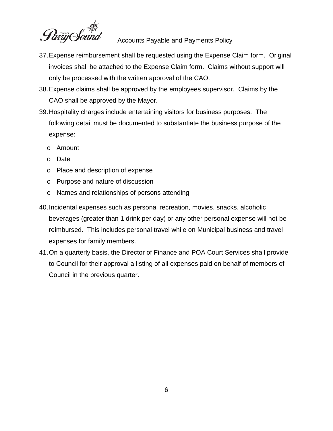

- 37.Expense reimbursement shall be requested using the Expense Claim form. Original invoices shall be attached to the Expense Claim form. Claims without support will only be processed with the written approval of the CAO.
- 38.Expense claims shall be approved by the employees supervisor. Claims by the CAO shall be approved by the Mayor.
- 39.Hospitality charges include entertaining visitors for business purposes. The following detail must be documented to substantiate the business purpose of the expense:
	- o Amount
	- o Date
	- o Place and description of expense
	- o Purpose and nature of discussion
	- o Names and relationships of persons attending
- 40.Incidental expenses such as personal recreation, movies, snacks, alcoholic beverages (greater than 1 drink per day) or any other personal expense will not be reimbursed. This includes personal travel while on Municipal business and travel expenses for family members.
- 41.On a quarterly basis, the Director of Finance and POA Court Services shall provide to Council for their approval a listing of all expenses paid on behalf of members of Council in the previous quarter.